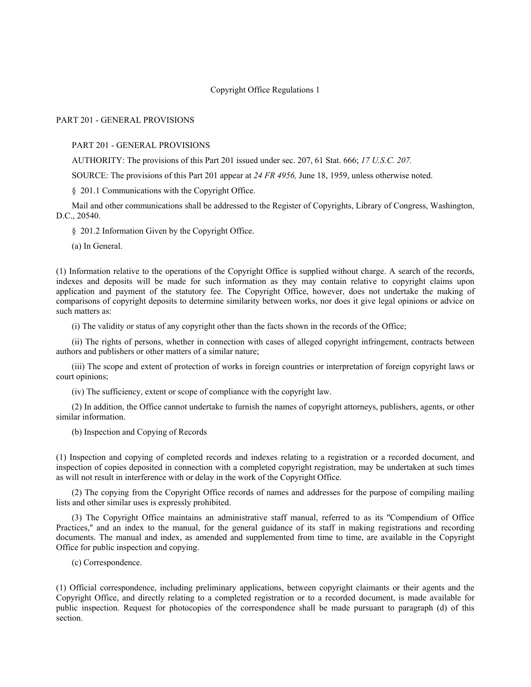# Copyright Office Regulations 1

# PART 201 - GENERAL PROVISIONS

PART 201 - GENERAL PROVISIONS

AUTHORITY: The provisions of this Part 201 issued under sec. 207, 61 Stat. 666; *17 U.S.C. 207.*

SOURCE: The provisions of this Part 201 appear at *24 FR 4956,* June 18, 1959, unless otherwise noted.

§ 201.1 Communications with the Copyright Office.

Mail and other communications shall be addressed to the Register of Copyrights, Library of Congress, Washington, D.C., 20540.

§ 201.2 Information Given by the Copyright Office.

(a) In General.

(1) Information relative to the operations of the Copyright Office is supplied without charge. A search of the records, indexes and deposits will be made for such information as they may contain relative to copyright claims upon application and payment of the statutory fee. The Copyright Office, however, does not undertake the making of comparisons of copyright deposits to determine similarity between works, nor does it give legal opinions or advice on such matters as:

(i) The validity or status of any copyright other than the facts shown in the records of the Office;

(ii) The rights of persons, whether in connection with cases of alleged copyright infringement, contracts between authors and publishers or other matters of a similar nature;

(iii) The scope and extent of protection of works in foreign countries or interpretation of foreign copyright laws or court opinions;

(iv) The sufficiency, extent or scope of compliance with the copyright law.

(2) In addition, the Office cannot undertake to furnish the names of copyright attorneys, publishers, agents, or other similar information.

(b) Inspection and Copying of Records

(1) Inspection and copying of completed records and indexes relating to a registration or a recorded document, and inspection of copies deposited in connection with a completed copyright registration, may be undertaken at such times as will not result in interference with or delay in the work of the Copyright Office.

(2) The copying from the Copyright Office records of names and addresses for the purpose of compiling mailing lists and other similar uses is expressly prohibited.

(3) The Copyright Office maintains an administrative staff manual, referred to as its ''Compendium of Office Practices," and an index to the manual, for the general guidance of its staff in making registrations and recording documents. The manual and index, as amended and supplemented from time to time, are available in the Copyright Office for public inspection and copying.

(c) Correspondence.

(1) Official correspondence, including preliminary applications, between copyright claimants or their agents and the Copyright Office, and directly relating to a completed registration or to a recorded document, is made available for public inspection. Request for photocopies of the correspondence shall be made pursuant to paragraph (d) of this section.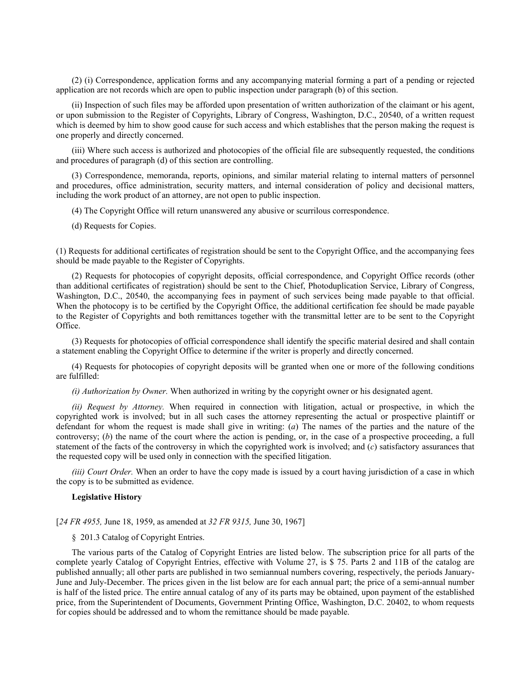(2) (i) Correspondence, application forms and any accompanying material forming a part of a pending or rejected application are not records which are open to public inspection under paragraph (b) of this section.

(ii) Inspection of such files may be afforded upon presentation of written authorization of the claimant or his agent, or upon submission to the Register of Copyrights, Library of Congress, Washington, D.C., 20540, of a written request which is deemed by him to show good cause for such access and which establishes that the person making the request is one properly and directly concerned.

(iii) Where such access is authorized and photocopies of the official file are subsequently requested, the conditions and procedures of paragraph (d) of this section are controlling.

(3) Correspondence, memoranda, reports, opinions, and similar material relating to internal matters of personnel and procedures, office administration, security matters, and internal consideration of policy and decisional matters, including the work product of an attorney, are not open to public inspection.

(4) The Copyright Office will return unanswered any abusive or scurrilous correspondence.

(d) Requests for Copies.

(1) Requests for additional certificates of registration should be sent to the Copyright Office, and the accompanying fees should be made payable to the Register of Copyrights.

(2) Requests for photocopies of copyright deposits, official correspondence, and Copyright Office records (other than additional certificates of registration) should be sent to the Chief, Photoduplication Service, Library of Congress, Washington, D.C., 20540, the accompanying fees in payment of such services being made payable to that official. When the photocopy is to be certified by the Copyright Office, the additional certification fee should be made payable to the Register of Copyrights and both remittances together with the transmittal letter are to be sent to the Copyright Office.

(3) Requests for photocopies of official correspondence shall identify the specific material desired and shall contain a statement enabling the Copyright Office to determine if the writer is properly and directly concerned.

(4) Requests for photocopies of copyright deposits will be granted when one or more of the following conditions are fulfilled:

*(i) Authorization by Owner.* When authorized in writing by the copyright owner or his designated agent.

*(ii) Request by Attorney.* When required in connection with litigation, actual or prospective, in which the copyrighted work is involved; but in all such cases the attorney representing the actual or prospective plaintiff or defendant for whom the request is made shall give in writing: (*a*) The names of the parties and the nature of the controversy; (*b*) the name of the court where the action is pending, or, in the case of a prospective proceeding, a full statement of the facts of the controversy in which the copyrighted work is involved; and (*c*) satisfactory assurances that the requested copy will be used only in connection with the specified litigation.

*(iii) Court Order.* When an order to have the copy made is issued by a court having jurisdiction of a case in which the copy is to be submitted as evidence.

### **Legislative History**

#### [*24 FR 4955,* June 18, 1959, as amended at *32 FR 9315,* June 30, 1967]

§ 201.3 Catalog of Copyright Entries.

The various parts of the Catalog of Copyright Entries are listed below. The subscription price for all parts of the complete yearly Catalog of Copyright Entries, effective with Volume 27, is \$ 75. Parts 2 and 11B of the catalog are published annually; all other parts are published in two semiannual numbers covering, respectively, the periods January-June and July-December. The prices given in the list below are for each annual part; the price of a semi-annual number is half of the listed price. The entire annual catalog of any of its parts may be obtained, upon payment of the established price, from the Superintendent of Documents, Government Printing Office, Washington, D.C. 20402, to whom requests for copies should be addressed and to whom the remittance should be made payable.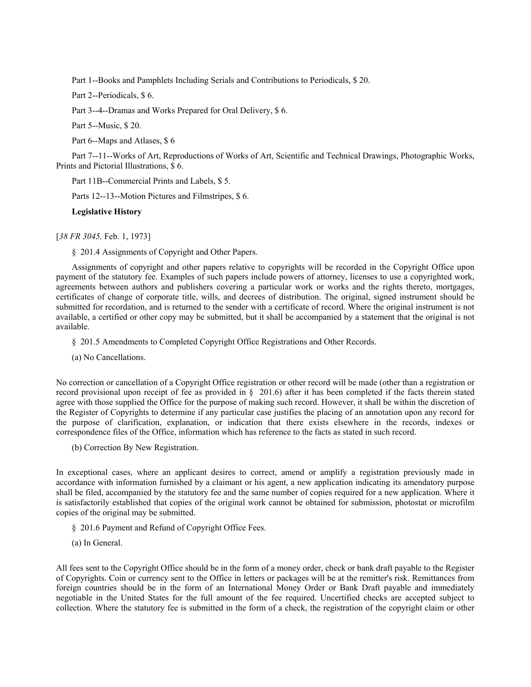Part 1--Books and Pamphlets Including Serials and Contributions to Periodicals, \$ 20.

Part 2--Periodicals, \$ 6.

Part 3--4--Dramas and Works Prepared for Oral Delivery, \$ 6.

Part 5--Music, \$ 20.

Part 6--Maps and Atlases, \$ 6

Part 7--11--Works of Art, Reproductions of Works of Art, Scientific and Technical Drawings, Photographic Works, Prints and Pictorial Illustrations, \$ 6.

Part 11B--Commercial Prints and Labels, \$ 5.

Parts 12--13--Motion Pictures and Filmstripes, \$ 6.

# **Legislative History**

[*38 FR 3045,* Feb. 1, 1973]

§ 201.4 Assignments of Copyright and Other Papers.

Assignments of copyright and other papers relative to copyrights will be recorded in the Copyright Office upon payment of the statutory fee. Examples of such papers include powers of attorney, licenses to use a copyrighted work, agreements between authors and publishers covering a particular work or works and the rights thereto, mortgages, certificates of change of corporate title, wills, and decrees of distribution. The original, signed instrument should be submitted for recordation, and is returned to the sender with a certificate of record. Where the original instrument is not available, a certified or other copy may be submitted, but it shall be accompanied by a statement that the original is not available.

§ 201.5 Amendments to Completed Copyright Office Registrations and Other Records.

(a) No Cancellations.

No correction or cancellation of a Copyright Office registration or other record will be made (other than a registration or record provisional upon receipt of fee as provided in § 201.6) after it has been completed if the facts therein stated agree with those supplied the Office for the purpose of making such record. However, it shall be within the discretion of the Register of Copyrights to determine if any particular case justifies the placing of an annotation upon any record for the purpose of clarification, explanation, or indication that there exists elsewhere in the records, indexes or correspondence files of the Office, information which has reference to the facts as stated in such record.

(b) Correction By New Registration.

In exceptional cases, where an applicant desires to correct, amend or amplify a registration previously made in accordance with information furnished by a claimant or his agent, a new application indicating its amendatory purpose shall be filed, accompanied by the statutory fee and the same number of copies required for a new application. Where it is satisfactorily established that copies of the original work cannot be obtained for submission, photostat or microfilm copies of the original may be submitted.

- § 201.6 Payment and Refund of Copyright Office Fees.
- (a) In General.

All fees sent to the Copyright Office should be in the form of a money order, check or bank draft payable to the Register of Copyrights. Coin or currency sent to the Office in letters or packages will be at the remitter's risk. Remittances from foreign countries should be in the form of an International Money Order or Bank Draft payable and immediately negotiable in the United States for the full amount of the fee required. Uncertified checks are accepted subject to collection. Where the statutory fee is submitted in the form of a check, the registration of the copyright claim or other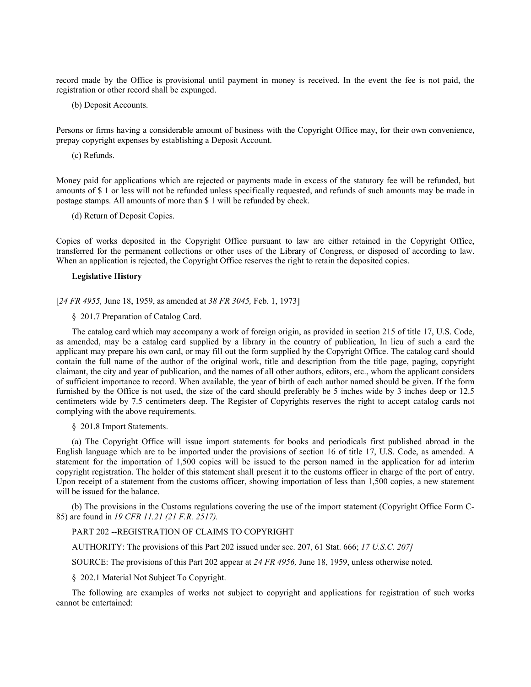record made by the Office is provisional until payment in money is received. In the event the fee is not paid, the registration or other record shall be expunged.

(b) Deposit Accounts.

Persons or firms having a considerable amount of business with the Copyright Office may, for their own convenience, prepay copyright expenses by establishing a Deposit Account.

(c) Refunds.

Money paid for applications which are rejected or payments made in excess of the statutory fee will be refunded, but amounts of \$ 1 or less will not be refunded unless specifically requested, and refunds of such amounts may be made in postage stamps. All amounts of more than \$ 1 will be refunded by check.

(d) Return of Deposit Copies.

Copies of works deposited in the Copyright Office pursuant to law are either retained in the Copyright Office, transferred for the permanent collections or other uses of the Library of Congress, or disposed of according to law. When an application is rejected, the Copyright Office reserves the right to retain the deposited copies.

## **Legislative History**

[*24 FR 4955,* June 18, 1959, as amended at *38 FR 3045,* Feb. 1, 1973]

§ 201.7 Preparation of Catalog Card.

The catalog card which may accompany a work of foreign origin, as provided in section 215 of title 17, U.S. Code, as amended, may be a catalog card supplied by a library in the country of publication, In lieu of such a card the applicant may prepare his own card, or may fill out the form supplied by the Copyright Office. The catalog card should contain the full name of the author of the original work, title and description from the title page, paging, copyright claimant, the city and year of publication, and the names of all other authors, editors, etc., whom the applicant considers of sufficient importance to record. When available, the year of birth of each author named should be given. If the form furnished by the Office is not used, the size of the card should preferably be 5 inches wide by 3 inches deep or 12.5 centimeters wide by 7.5 centimeters deep. The Register of Copyrights reserves the right to accept catalog cards not complying with the above requirements.

§ 201.8 Import Statements.

(a) The Copyright Office will issue import statements for books and periodicals first published abroad in the English language which are to be imported under the provisions of section 16 of title 17, U.S. Code, as amended. A statement for the importation of 1,500 copies will be issued to the person named in the application for ad interim copyright registration. The holder of this statement shall present it to the customs officer in charge of the port of entry. Upon receipt of a statement from the customs officer, showing importation of less than 1,500 copies, a new statement will be issued for the balance.

(b) The provisions in the Customs regulations covering the use of the import statement (Copyright Office Form C-85) are found in *19 CFR 11.21 (21 F.R. 2517).*

PART 202 --REGISTRATION OF CLAIMS TO COPYRIGHT

AUTHORITY: The provisions of this Part 202 issued under sec. 207, 61 Stat. 666; *17 U.S.C. 207]*

SOURCE: The provisions of this Part 202 appear at *24 FR 4956,* June 18, 1959, unless otherwise noted.

§ 202.1 Material Not Subject To Copyright.

The following are examples of works not subject to copyright and applications for registration of such works cannot be entertained: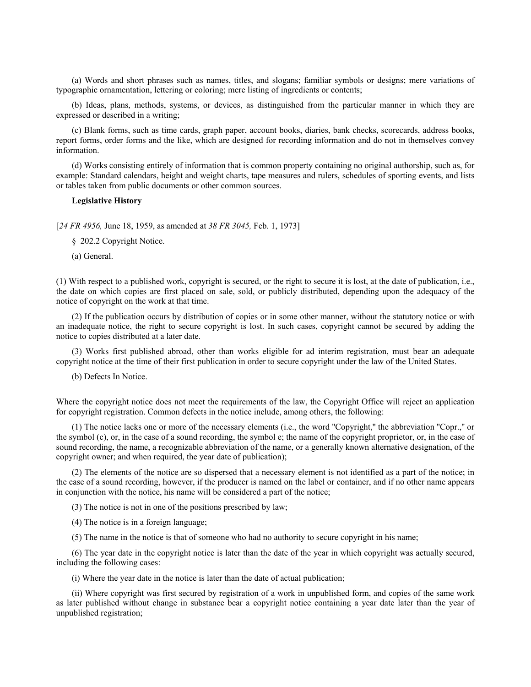(a) Words and short phrases such as names, titles, and slogans; familiar symbols or designs; mere variations of typographic ornamentation, lettering or coloring; mere listing of ingredients or contents;

(b) Ideas, plans, methods, systems, or devices, as distinguished from the particular manner in which they are expressed or described in a writing;

(c) Blank forms, such as time cards, graph paper, account books, diaries, bank checks, scorecards, address books, report forms, order forms and the like, which are designed for recording information and do not in themselves convey information.

(d) Works consisting entirely of information that is common property containing no original authorship, such as, for example: Standard calendars, height and weight charts, tape measures and rulers, schedules of sporting events, and lists or tables taken from public documents or other common sources.

## **Legislative History**

[*24 FR 4956,* June 18, 1959, as amended at *38 FR 3045,* Feb. 1, 1973]

§ 202.2 Copyright Notice.

(a) General.

(1) With respect to a published work, copyright is secured, or the right to secure it is lost, at the date of publication, i.e., the date on which copies are first placed on sale, sold, or publicly distributed, depending upon the adequacy of the notice of copyright on the work at that time.

(2) If the publication occurs by distribution of copies or in some other manner, without the statutory notice or with an inadequate notice, the right to secure copyright is lost. In such cases, copyright cannot be secured by adding the notice to copies distributed at a later date.

(3) Works first published abroad, other than works eligible for ad interim registration, must bear an adequate copyright notice at the time of their first publication in order to secure copyright under the law of the United States.

(b) Defects In Notice.

Where the copyright notice does not meet the requirements of the law, the Copyright Office will reject an application for copyright registration. Common defects in the notice include, among others, the following:

(1) The notice lacks one or more of the necessary elements (i.e., the word ''Copyright,'' the abbreviation ''Copr.,'' or the symbol (c), or, in the case of a sound recording, the symbol e; the name of the copyright proprietor, or, in the case of sound recording, the name, a recognizable abbreviation of the name, or a generally known alternative designation, of the copyright owner; and when required, the year date of publication);

(2) The elements of the notice are so dispersed that a necessary element is not identified as a part of the notice; in the case of a sound recording, however, if the producer is named on the label or container, and if no other name appears in conjunction with the notice, his name will be considered a part of the notice;

(3) The notice is not in one of the positions prescribed by law;

(4) The notice is in a foreign language;

(5) The name in the notice is that of someone who had no authority to secure copyright in his name;

(6) The year date in the copyright notice is later than the date of the year in which copyright was actually secured, including the following cases:

(i) Where the year date in the notice is later than the date of actual publication;

(ii) Where copyright was first secured by registration of a work in unpublished form, and copies of the same work as later published without change in substance bear a copyright notice containing a year date later than the year of unpublished registration;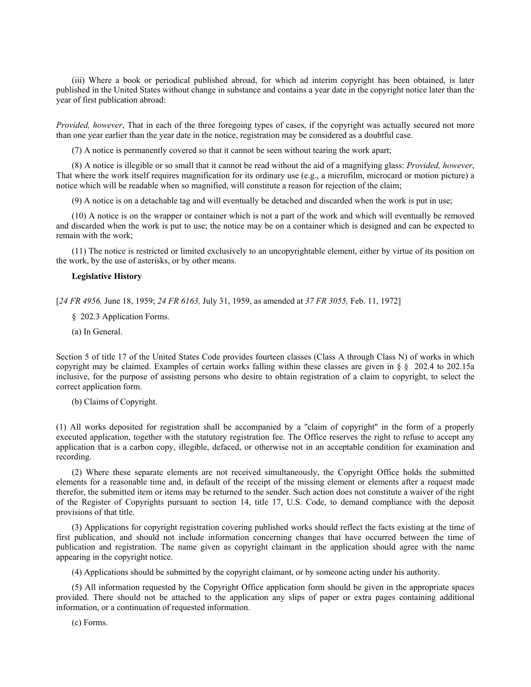(iii) Where a book or periodical published abroad, for which ad interim copyright has been obtained, is later published in the United States without change in substance and contains a year date in the copyright notice later than the year of first publication abroad:

*Provided, however*, That in each of the three foregoing types of cases, if the copyright was actually secured not more than one year earlier than the year date in the notice, registration may be considered as a doubtful case.

(7) A notice is permanently covered so that it cannot be seen without tearing the work apart;

(8) A notice is illegible or so small that it cannot be read without the aid of a magnifying glass: *Provided, however*, That where the work itself requires magnification for its ordinary use (e.g., a microfilm, microcard or motion picture) a notice which will be readable when so magnified, will constitute a reason for rejection of the claim;

(9) A notice is on a detachable tag and will eventually be detached and discarded when the work is put in use;

(10) A notice is on the wrapper or container which is not a part of the work and which will eventually be removed and discarded when the work is put to use; the notice may be on a container which is designed and can be expected to remain with the work;

(11) The notice is restricted or limited exclusively to an uncopyrightable element, either by virtue of its position on the work, by the use of asterisks, or by other means.

## **Legislative History**

[*24 FR 4956,* June 18, 1959; *24 FR 6163,* July 31, 1959, as amended at *37 FR 3055,* Feb. 11, 1972]

§ 202.3 Application Forms.

(a) In General.

Section 5 of title 17 of the United States Code provides fourteen classes (Class A through Class N) of works in which copyright may be claimed. Examples of certain works falling within these classes are given in § § 202.4 to 202.15a inclusive, for the purpose of assisting persons who desire to obtain registration of a claim to copyright, to select the correct application form.

(b) Claims of Copyright.

(1) All works deposited for registration shall be accompanied by a ''claim of copyright'' in the form of a properly executed application, together with the statutory registration fee. The Office reserves the right to refuse to accept any application that is a carbon copy, illegible, defaced, or otherwise not in an acceptable condition for examination and recording.

(2) Where these separate elements are not received simultaneously, the Copyright Office holds the submitted elements for a reasonable time and, in default of the receipt of the missing element or elements after a request made therefor, the submitted item or items may be returned to the sender. Such action does not constitute a waiver of the right of the Register of Copyrights pursuant to section 14, title 17, U.S. Code, to demand compliance with the deposit provisions of that title.

(3) Applications for copyright registration covering published works should reflect the facts existing at the time of first publication, and should not include information concerning changes that have occurred between the time of publication and registration. The name given as copyright claimant in the application should agree with the name appearing in the copyright notice.

(4) Applications should be submitted by the copyright claimant, or by someone acting under his authority.

(5) All information requested by the Copyright Office application form should be given in the appropriate spaces provided. There should not be attached to the application any slips of paper or extra pages containing additional information, or a continuation of requested information.

(c) Forms.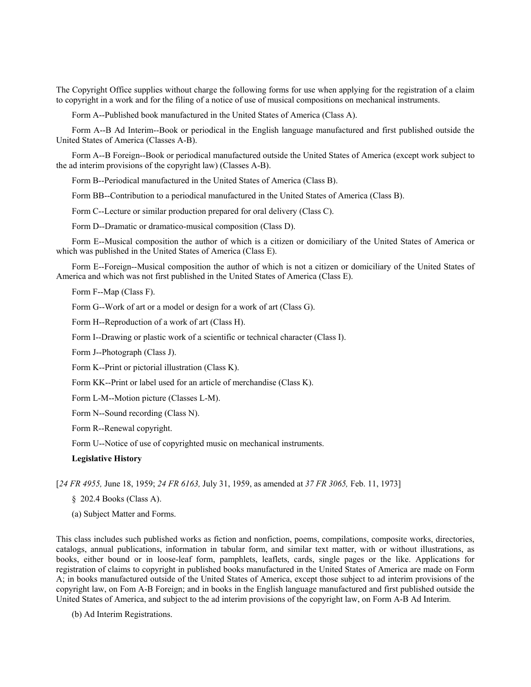The Copyright Office supplies without charge the following forms for use when applying for the registration of a claim to copyright in a work and for the filing of a notice of use of musical compositions on mechanical instruments.

Form A--Published book manufactured in the United States of America (Class A).

Form A--B Ad Interim--Book or periodical in the English language manufactured and first published outside the United States of America (Classes A-B).

Form A--B Foreign--Book or periodical manufactured outside the United States of America (except work subject to the ad interim provisions of the copyright law) (Classes A-B).

Form B--Periodical manufactured in the United States of America (Class B).

Form BB--Contribution to a periodical manufactured in the United States of America (Class B).

Form C--Lecture or similar production prepared for oral delivery (Class C).

Form D--Dramatic or dramatico-musical composition (Class D).

Form E--Musical composition the author of which is a citizen or domiciliary of the United States of America or which was published in the United States of America (Class E).

Form E--Foreign--Musical composition the author of which is not a citizen or domiciliary of the United States of America and which was not first published in the United States of America (Class E).

Form F--Map (Class F).

Form G--Work of art or a model or design for a work of art (Class G).

Form H--Reproduction of a work of art (Class H).

Form I--Drawing or plastic work of a scientific or technical character (Class I).

Form J--Photograph (Class J).

Form K--Print or pictorial illustration (Class K).

Form KK--Print or label used for an article of merchandise (Class K).

Form L-M--Motion picture (Classes L-M).

Form N--Sound recording (Class N).

Form R--Renewal copyright.

Form U--Notice of use of copyrighted music on mechanical instruments.

# **Legislative History**

[*24 FR 4955,* June 18, 1959; *24 FR 6163,* July 31, 1959, as amended at *37 FR 3065,* Feb. 11, 1973]

§ 202.4 Books (Class A).

(a) Subject Matter and Forms.

This class includes such published works as fiction and nonfiction, poems, compilations, composite works, directories, catalogs, annual publications, information in tabular form, and similar text matter, with or without illustrations, as books, either bound or in loose-leaf form, pamphlets, leaflets, cards, single pages or the like. Applications for registration of claims to copyright in published books manufactured in the United States of America are made on Form A; in books manufactured outside of the United States of America, except those subject to ad interim provisions of the copyright law, on Fom A-B Foreign; and in books in the English language manufactured and first published outside the United States of America, and subject to the ad interim provisions of the copyright law, on Form A-B Ad Interim.

(b) Ad Interim Registrations.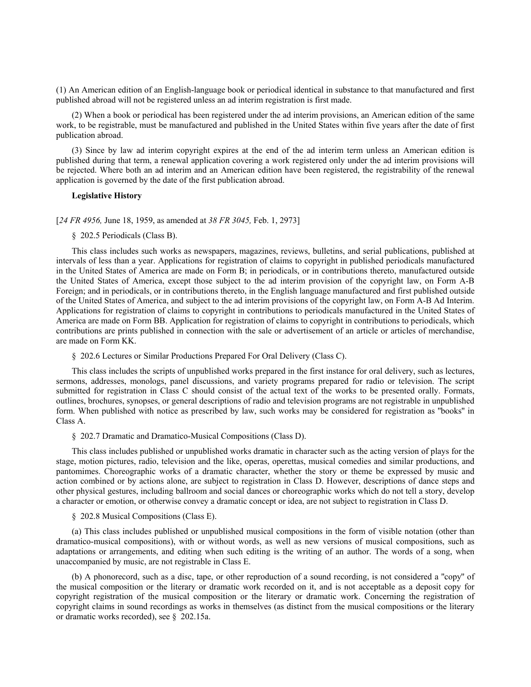(1) An American edition of an English-language book or periodical identical in substance to that manufactured and first published abroad will not be registered unless an ad interim registration is first made.

(2) When a book or periodical has been registered under the ad interim provisions, an American edition of the same work, to be registrable, must be manufactured and published in the United States within five years after the date of first publication abroad.

(3) Since by law ad interim copyright expires at the end of the ad interim term unless an American edition is published during that term, a renewal application covering a work registered only under the ad interim provisions will be rejected. Where both an ad interim and an American edition have been registered, the registrability of the renewal application is governed by the date of the first publication abroad.

# **Legislative History**

[*24 FR 4956,* June 18, 1959, as amended at *38 FR 3045,* Feb. 1, 2973]

#### § 202.5 Periodicals (Class B).

This class includes such works as newspapers, magazines, reviews, bulletins, and serial publications, published at intervals of less than a year. Applications for registration of claims to copyright in published periodicals manufactured in the United States of America are made on Form B; in periodicals, or in contributions thereto, manufactured outside the United States of America, except those subject to the ad interim provision of the copyright law, on Form A-B Foreign; and in periodicals, or in contributions thereto, in the English language manufactured and first published outside of the United States of America, and subject to the ad interim provisions of the copyright law, on Form A-B Ad Interim. Applications for registration of claims to copyright in contributions to periodicals manufactured in the United States of America are made on Form BB. Application for registration of claims to copyright in contributions to periodicals, which contributions are prints published in connection with the sale or advertisement of an article or articles of merchandise, are made on Form KK.

§ 202.6 Lectures or Similar Productions Prepared For Oral Delivery (Class C).

This class includes the scripts of unpublished works prepared in the first instance for oral delivery, such as lectures, sermons, addresses, monologs, panel discussions, and variety programs prepared for radio or television. The script submitted for registration in Class C should consist of the actual text of the works to be presented orally. Formats, outlines, brochures, synopses, or general descriptions of radio and television programs are not registrable in unpublished form. When published with notice as prescribed by law, such works may be considered for registration as ''books'' in Class A.

#### § 202.7 Dramatic and Dramatico-Musical Compositions (Class D).

This class includes published or unpublished works dramatic in character such as the acting version of plays for the stage, motion pictures, radio, television and the like, operas, operettas, musical comedies and similar productions, and pantomimes. Choreographic works of a dramatic character, whether the story or theme be expressed by music and action combined or by actions alone, are subject to registration in Class D. However, descriptions of dance steps and other physical gestures, including ballroom and social dances or choreographic works which do not tell a story, develop a character or emotion, or otherwise convey a dramatic concept or idea, are not subject to registration in Class D.

§ 202.8 Musical Compositions (Class E).

(a) This class includes published or unpublished musical compositions in the form of visible notation (other than dramatico-musical compositions), with or without words, as well as new versions of musical compositions, such as adaptations or arrangements, and editing when such editing is the writing of an author. The words of a song, when unaccompanied by music, are not registrable in Class E.

(b) A phonorecord, such as a disc, tape, or other reproduction of a sound recording, is not considered a ''copy'' of the musical composition or the literary or dramatic work recorded on it, and is not acceptable as a deposit copy for copyright registration of the musical composition or the literary or dramatic work. Concerning the registration of copyright claims in sound recordings as works in themselves (as distinct from the musical compositions or the literary or dramatic works recorded), see § 202.15a.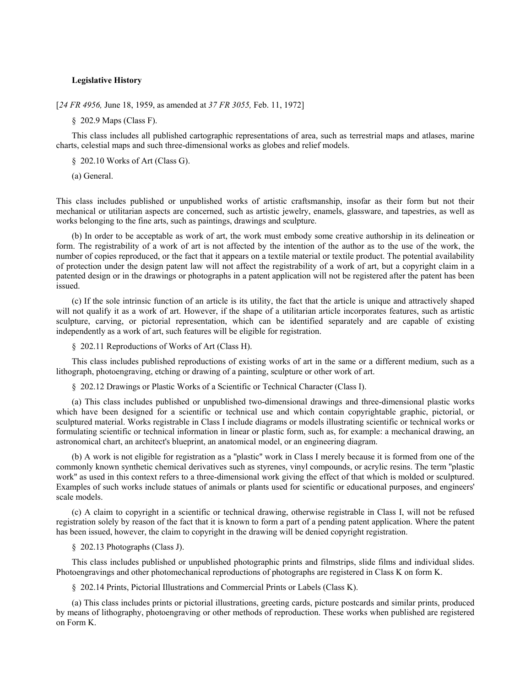# **Legislative History**

[*24 FR 4956,* June 18, 1959, as amended at *37 FR 3055,* Feb. 11, 1972]

§ 202.9 Maps (Class F).

This class includes all published cartographic representations of area, such as terrestrial maps and atlases, marine charts, celestial maps and such three-dimensional works as globes and relief models.

§ 202.10 Works of Art (Class G).

(a) General.

This class includes published or unpublished works of artistic craftsmanship, insofar as their form but not their mechanical or utilitarian aspects are concerned, such as artistic jewelry, enamels, glassware, and tapestries, as well as works belonging to the fine arts, such as paintings, drawings and sculpture.

(b) In order to be acceptable as work of art, the work must embody some creative authorship in its delineation or form. The registrability of a work of art is not affected by the intention of the author as to the use of the work, the number of copies reproduced, or the fact that it appears on a textile material or textile product. The potential availability of protection under the design patent law will not affect the registrability of a work of art, but a copyright claim in a patented design or in the drawings or photographs in a patent application will not be registered after the patent has been issued.

(c) If the sole intrinsic function of an article is its utility, the fact that the article is unique and attractively shaped will not qualify it as a work of art. However, if the shape of a utilitarian article incorporates features, such as artistic sculpture, carving, or pictorial representation, which can be identified separately and are capable of existing independently as a work of art, such features will be eligible for registration.

§ 202.11 Reproductions of Works of Art (Class H).

This class includes published reproductions of existing works of art in the same or a different medium, such as a lithograph, photoengraving, etching or drawing of a painting, sculpture or other work of art.

§ 202.12 Drawings or Plastic Works of a Scientific or Technical Character (Class I).

(a) This class includes published or unpublished two-dimensional drawings and three-dimensional plastic works which have been designed for a scientific or technical use and which contain copyrightable graphic, pictorial, or sculptured material. Works registrable in Class I include diagrams or models illustrating scientific or technical works or formulating scientific or technical information in linear or plastic form, such as, for example: a mechanical drawing, an astronomical chart, an architect's blueprint, an anatomical model, or an engineering diagram.

(b) A work is not eligible for registration as a ''plastic'' work in Class I merely because it is formed from one of the commonly known synthetic chemical derivatives such as styrenes, vinyl compounds, or acrylic resins. The term ''plastic work'' as used in this context refers to a three-dimensional work giving the effect of that which is molded or sculptured. Examples of such works include statues of animals or plants used for scientific or educational purposes, and engineers' scale models.

(c) A claim to copyright in a scientific or technical drawing, otherwise registrable in Class I, will not be refused registration solely by reason of the fact that it is known to form a part of a pending patent application. Where the patent has been issued, however, the claim to copyright in the drawing will be denied copyright registration.

§ 202.13 Photographs (Class J).

This class includes published or unpublished photographic prints and filmstrips, slide films and individual slides. Photoengravings and other photomechanical reproductions of photographs are registered in Class K on form K.

§ 202.14 Prints, Pictorial Illustrations and Commercial Prints or Labels (Class K).

(a) This class includes prints or pictorial illustrations, greeting cards, picture postcards and similar prints, produced by means of lithography, photoengraving or other methods of reproduction. These works when published are registered on Form K.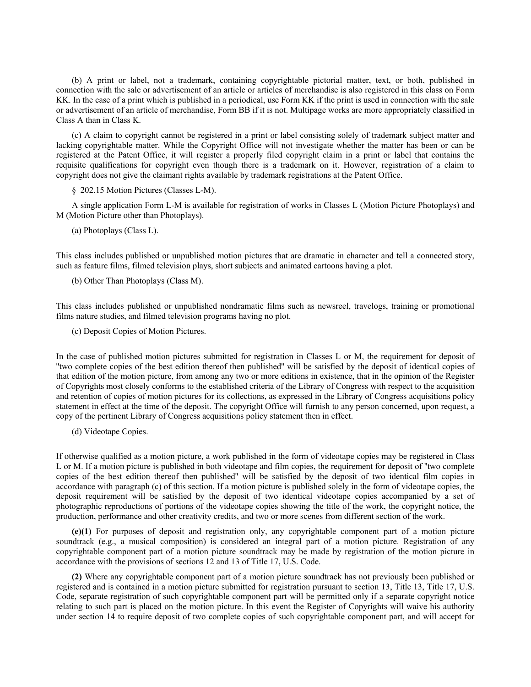(b) A print or label, not a trademark, containing copyrightable pictorial matter, text, or both, published in connection with the sale or advertisement of an article or articles of merchandise is also registered in this class on Form KK. In the case of a print which is published in a periodical, use Form KK if the print is used in connection with the sale or advertisement of an article of merchandise, Form BB if it is not. Multipage works are more appropriately classified in Class A than in Class K.

(c) A claim to copyright cannot be registered in a print or label consisting solely of trademark subject matter and lacking copyrightable matter. While the Copyright Office will not investigate whether the matter has been or can be registered at the Patent Office, it will register a properly filed copyright claim in a print or label that contains the requisite qualifications for copyright even though there is a trademark on it. However, registration of a claim to copyright does not give the claimant rights available by trademark registrations at the Patent Office.

§ 202.15 Motion Pictures (Classes L-M).

A single application Form L-M is available for registration of works in Classes L (Motion Picture Photoplays) and M (Motion Picture other than Photoplays).

(a) Photoplays (Class L).

This class includes published or unpublished motion pictures that are dramatic in character and tell a connected story, such as feature films, filmed television plays, short subjects and animated cartoons having a plot.

(b) Other Than Photoplays (Class M).

This class includes published or unpublished nondramatic films such as newsreel, travelogs, training or promotional films nature studies, and filmed television programs having no plot.

(c) Deposit Copies of Motion Pictures.

In the case of published motion pictures submitted for registration in Classes L or M, the requirement for deposit of ''two complete copies of the best edition thereof then published'' will be satisfied by the deposit of identical copies of that edition of the motion picture, from among any two or more editions in existence, that in the opinion of the Register of Copyrights most closely conforms to the established criteria of the Library of Congress with respect to the acquisition and retention of copies of motion pictures for its collections, as expressed in the Library of Congress acquisitions policy statement in effect at the time of the deposit. The copyright Office will furnish to any person concerned, upon request, a copy of the pertinent Library of Congress acquisitions policy statement then in effect.

(d) Videotape Copies.

If otherwise qualified as a motion picture, a work published in the form of videotape copies may be registered in Class L or M. If a motion picture is published in both videotape and film copies, the requirement for deposit of ''two complete copies of the best edition thereof then published'' will be satisfied by the deposit of two identical film copies in accordance with paragraph (c) of this section. If a motion picture is published solely in the form of videotape copies, the deposit requirement will be satisfied by the deposit of two identical videotape copies accompanied by a set of photographic reproductions of portions of the videotape copies showing the title of the work, the copyright notice, the production, performance and other creativity credits, and two or more scenes from different section of the work.

**(e)(1)** For purposes of deposit and registration only, any copyrightable component part of a motion picture soundtrack (e.g., a musical composition) is considered an integral part of a motion picture. Registration of any copyrightable component part of a motion picture soundtrack may be made by registration of the motion picture in accordance with the provisions of sections 12 and 13 of Title 17, U.S. Code.

**(2)** Where any copyrightable component part of a motion picture soundtrack has not previously been published or registered and is contained in a motion picture submitted for registration pursuant to section 13, Title 13, Title 17, U.S. Code, separate registration of such copyrightable component part will be permitted only if a separate copyright notice relating to such part is placed on the motion picture. In this event the Register of Copyrights will waive his authority under section 14 to require deposit of two complete copies of such copyrightable component part, and will accept for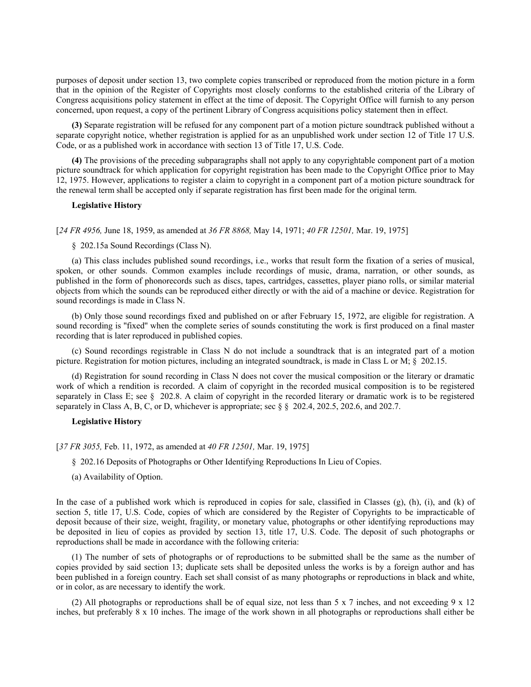purposes of deposit under section 13, two complete copies transcribed or reproduced from the motion picture in a form that in the opinion of the Register of Copyrights most closely conforms to the established criteria of the Library of Congress acquisitions policy statement in effect at the time of deposit. The Copyright Office will furnish to any person concerned, upon request, a copy of the pertinent Library of Congress acquisitions policy statement then in effect.

**(3)** Separate registration will be refused for any component part of a motion picture soundtrack published without a separate copyright notice, whether registration is applied for as an unpublished work under section 12 of Title 17 U.S. Code, or as a published work in accordance with section 13 of Title 17, U.S. Code.

**(4)** The provisions of the preceding subparagraphs shall not apply to any copyrightable component part of a motion picture soundtrack for which application for copyright registration has been made to the Copyright Office prior to May 12, 1975. However, applications to register a claim to copyright in a component part of a motion picture soundtrack for the renewal term shall be accepted only if separate registration has first been made for the original term.

### **Legislative History**

[*24 FR 4956,* June 18, 1959, as amended at *36 FR 8868,* May 14, 1971; *40 FR 12501,* Mar. 19, 1975]

§ 202.15a Sound Recordings (Class N).

(a) This class includes published sound recordings, i.e., works that result form the fixation of a series of musical, spoken, or other sounds. Common examples include recordings of music, drama, narration, or other sounds, as published in the form of phonorecords such as discs, tapes, cartridges, cassettes, player piano rolls, or similar material objects from which the sounds can be reproduced either directly or with the aid of a machine or device. Registration for sound recordings is made in Class N.

(b) Only those sound recordings fixed and published on or after February 15, 1972, are eligible for registration. A sound recording is ''fixed'' when the complete series of sounds constituting the work is first produced on a final master recording that is later reproduced in published copies.

(c) Sound recordings registrable in Class N do not include a soundtrack that is an integrated part of a motion picture. Registration for motion pictures, including an integrated soundtrack, is made in Class L or M; § 202.15.

(d) Registration for sound recording in Class N does not cover the musical composition or the literary or dramatic work of which a rendition is recorded. A claim of copyright in the recorded musical composition is to be registered separately in Class E; see  $\S$  202.8. A claim of copyright in the recorded literary or dramatic work is to be registered separately in Class A, B, C, or D, whichever is appropriate; sec  $\S$   $\S$  202.4, 202.5, 202.6, and 202.7.

### **Legislative History**

[*37 FR 3055,* Feb. 11, 1972, as amended at *40 FR 12501,* Mar. 19, 1975]

§ 202.16 Deposits of Photographs or Other Identifying Reproductions In Lieu of Copies.

(a) Availability of Option.

In the case of a published work which is reproduced in copies for sale, classified in Classes  $(g)$ ,  $(h)$ ,  $(i)$ , and  $(k)$  of section 5, title 17, U.S. Code, copies of which are considered by the Register of Copyrights to be impracticable of deposit because of their size, weight, fragility, or monetary value, photographs or other identifying reproductions may be deposited in lieu of copies as provided by section 13, title 17, U.S. Code. The deposit of such photographs or reproductions shall be made in accordance with the following criteria:

(1) The number of sets of photographs or of reproductions to be submitted shall be the same as the number of copies provided by said section 13; duplicate sets shall be deposited unless the works is by a foreign author and has been published in a foreign country. Each set shall consist of as many photographs or reproductions in black and white, or in color, as are necessary to identify the work.

(2) All photographs or reproductions shall be of equal size, not less than  $5 \times 7$  inches, and not exceeding  $9 \times 12$ inches, but preferably 8 x 10 inches. The image of the work shown in all photographs or reproductions shall either be